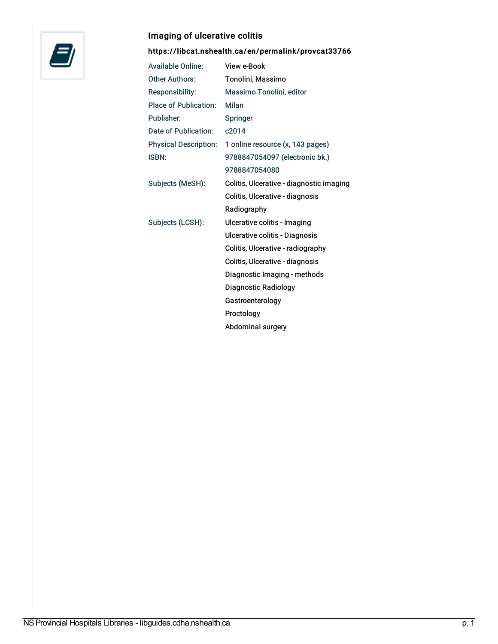

## Imaging of ulcerative colitis

<https://libcat.nshealth.ca/en/permalink/provcat33766>

| <b>Available Online:</b>     | View e-Book                              |
|------------------------------|------------------------------------------|
| <b>Other Authors:</b>        | Tonolini, Massimo                        |
| <b>Responsibility:</b>       | Massimo Tonolini, editor                 |
| <b>Place of Publication:</b> | Milan                                    |
| Publisher:                   | <b>Springer</b>                          |
| Date of Publication:         | c2014                                    |
| <b>Physical Description:</b> | 1 online resource (x, 143 pages)         |
| <b>ISBN:</b>                 | 9788847054097 (electronic bk.)           |
|                              | 9788847054080                            |
| Subjects (MeSH):             | Colitis, Ulcerative - diagnostic imaging |
|                              | Colitis, Ulcerative - diagnosis          |
|                              | Radiography                              |
| Subjects (LCSH):             | Ulcerative colitis - Imaging             |
|                              | Ulcerative colitis - Diagnosis           |
|                              | Colitis, Ulcerative - radiography        |
|                              | Colitis, Ulcerative - diagnosis          |
|                              | Diagnostic Imaging - methods             |
|                              | Diagnostic Radiology                     |
|                              | Gastroenterology                         |
|                              | Proctology                               |
|                              | Abdominal surgery                        |
|                              |                                          |